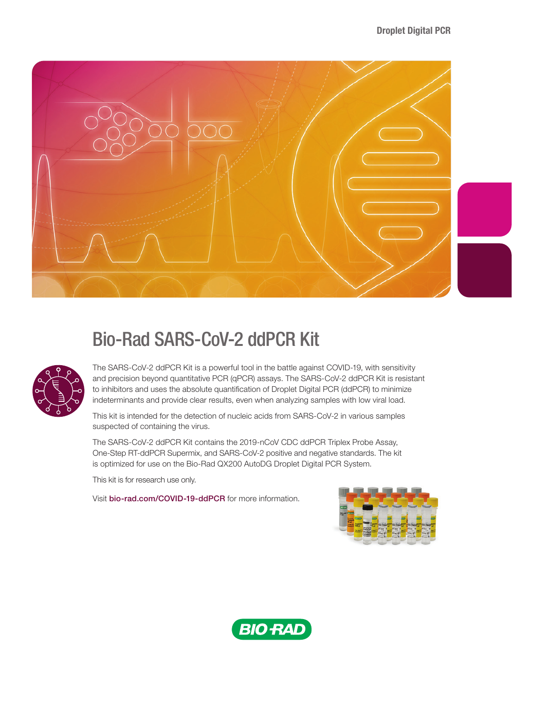

# Bio-Rad SARS-CoV-2 ddPCR Kit



The SARS-CoV-2 ddPCR Kit is a powerful tool in the battle against COVID-19, with sensitivity and precision beyond quantitative PCR (qPCR) assays. The SARS-CoV-2 ddPCR Kit is resistant to inhibitors and uses the absolute quantification of Droplet Digital PCR (ddPCR) to minimize indeterminants and provide clear results, even when analyzing samples with low viral load.

This kit is intended for the detection of nucleic acids from SARS-CoV-2 in various samples suspected of containing the virus.

The SARS-CoV-2 ddPCR Kit contains the 2019-nCoV CDC ddPCR Triplex Probe Assay, One-Step RT-ddPCR Supermix, and SARS-CoV-2 positive and negative standards. The kit is optimized for use on the Bio-Rad QX200 AutoDG Droplet Digital PCR System.

This kit is for research use only.

Visit [bio-rad.com/COVID-19-ddPCR](http://www.bio-rad.com/COVID-19-ddPCR) for more information.